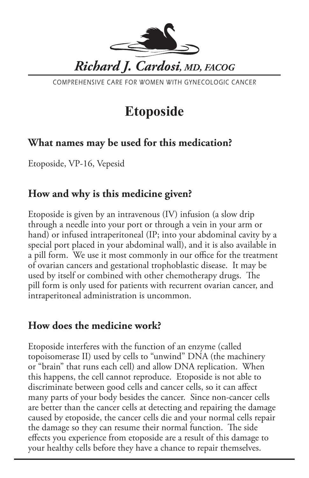

COMPREHENSIVE CARE FOR WOMEN WITH GYNECOLOGIC CANCER

# **Etoposide**

# **What names may be used for this medication?**

Etoposide, VP-16, Vepesid

### **How and why is this medicine given?**

Etoposide is given by an intravenous (IV) infusion (a slow drip through a needle into your port or through a vein in your arm or hand) or infused intraperitoneal (IP; into your abdominal cavity by a special port placed in your abdominal wall), and it is also available in a pill form. We use it most commonly in our office for the treatment of ovarian cancers and gestational trophoblastic disease. It may be used by itself or combined with other chemotherapy drugs. The pill form is only used for patients with recurrent ovarian cancer, and intraperitoneal administration is uncommon.

### **How does the medicine work?**

Etoposide interferes with the function of an enzyme (called topoisomerase II) used by cells to "unwind" DNA (the machinery or "brain" that runs each cell) and allow DNA replication. When this happens, the cell cannot reproduce. Etoposide is not able to discriminate between good cells and cancer cells, so it can affect many parts of your body besides the cancer. Since non-cancer cells are better than the cancer cells at detecting and repairing the damage caused by etoposide, the cancer cells die and your normal cells repair the damage so they can resume their normal function. The side effects you experience from etoposide are a result of this damage to your healthy cells before they have a chance to repair themselves.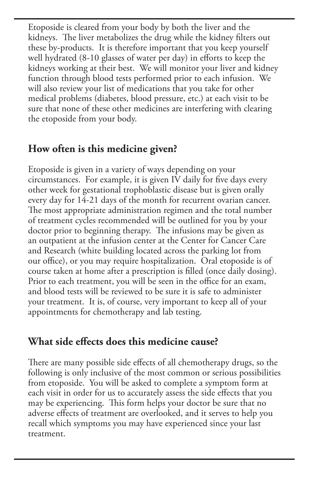Etoposide is cleared from your body by both the liver and the kidneys. The liver metabolizes the drug while the kidney filters out these by-products. It is therefore important that you keep yourself well hydrated (8-10 glasses of water per day) in efforts to keep the kidneys working at their best. We will monitor your liver and kidney function through blood tests performed prior to each infusion. We will also review your list of medications that you take for other medical problems (diabetes, blood pressure, etc.) at each visit to be sure that none of these other medicines are interfering with clearing the etoposide from your body.

# **How often is this medicine given?**

Etoposide is given in a variety of ways depending on your circumstances. For example, it is given IV daily for five days every other week for gestational trophoblastic disease but is given orally every day for 14-21 days of the month for recurrent ovarian cancer. The most appropriate administration regimen and the total number of treatment cycles recommended will be outlined for you by your doctor prior to beginning therapy. The infusions may be given as an outpatient at the infusion center at the Center for Cancer Care and Research (white building located across the parking lot from our office), or you may require hospitalization. Oral etoposide is of course taken at home after a prescription is filled (once daily dosing). Prior to each treatment, you will be seen in the office for an exam, and blood tests will be reviewed to be sure it is safe to administer your treatment. It is, of course, very important to keep all of your appointments for chemotherapy and lab testing.

#### **What side effects does this medicine cause?**

There are many possible side effects of all chemotherapy drugs, so the following is only inclusive of the most common or serious possibilities from etoposide. You will be asked to complete a symptom form at each visit in order for us to accurately assess the side effects that you may be experiencing. This form helps your doctor be sure that no adverse effects of treatment are overlooked, and it serves to help you recall which symptoms you may have experienced since your last treatment.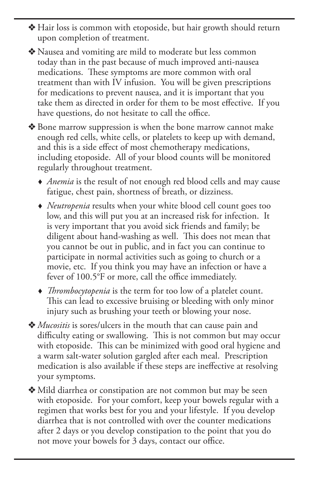- v Hair loss is common with etoposide, but hair growth should return upon completion of treatment.
- v Nausea and vomiting are mild to moderate but less common today than in the past because of much improved anti-nausea medications. These symptoms are more common with oral treatment than with IV infusion. You will be given prescriptions for medications to prevent nausea, and it is important that you take them as directed in order for them to be most effective. If you have questions, do not hesitate to call the office.
- ◆ Bone marrow suppression is when the bone marrow cannot make enough red cells, white cells, or platelets to keep up with demand, and this is a side effect of most chemotherapy medications, including etoposide. All of your blood counts will be monitored regularly throughout treatment.
	- *Anemia* is the result of not enough red blood cells and may cause fatigue, chest pain, shortness of breath, or dizziness.
	- *Neutropenia* results when your white blood cell count goes too low, and this will put you at an increased risk for infection. It is very important that you avoid sick friends and family; be diligent about hand-washing as well. This does not mean that you cannot be out in public, and in fact you can continue to participate in normal activities such as going to church or a movie, etc. If you think you may have an infection or have a fever of 100.5°F or more, call the office immediately.
	- *Thrombocytopenia* is the term for too low of a platelet count. This can lead to excessive bruising or bleeding with only minor injury such as brushing your teeth or blowing your nose.
- v *Mucositis* is sores/ulcers in the mouth that can cause pain and difficulty eating or swallowing. This is not common but may occur with etoposide. This can be minimized with good oral hygiene and a warm salt-water solution gargled after each meal. Prescription medication is also available if these steps are ineffective at resolving your symptoms.
- v Mild diarrhea or constipation are not common but may be seen with etoposide. For your comfort, keep your bowels regular with a regimen that works best for you and your lifestyle. If you develop diarrhea that is not controlled with over the counter medications after 2 days or you develop constipation to the point that you do not move your bowels for 3 days, contact our office.